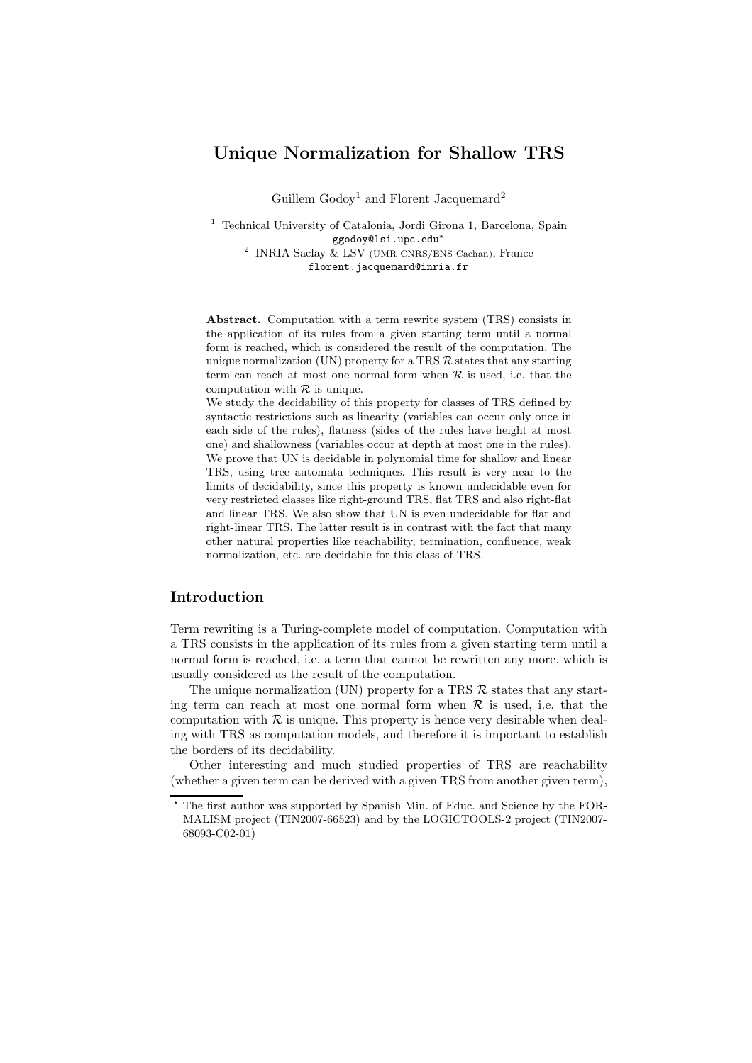# Unique Normalization for Shallow TRS

Guillem  $Goodov<sup>1</sup>$  and Florent Jacquemard<sup>2</sup>

<sup>1</sup> Technical University of Catalonia, Jordi Girona 1, Barcelona, Spain ggodoy@lsi.upc.edu<sup>\*</sup> 2 INRIA Saclay & LSV (UMR CNRS/ENS Cachan), France florent.jacquemard@inria.fr

Abstract. Computation with a term rewrite system (TRS) consists in the application of its rules from a given starting term until a normal form is reached, which is considered the result of the computation. The unique normalization (UN) property for a TRS  $\mathcal{R}$  states that any starting term can reach at most one normal form when  $R$  is used, i.e. that the computation with  $R$  is unique.

We study the decidability of this property for classes of TRS defined by syntactic restrictions such as linearity (variables can occur only once in each side of the rules), flatness (sides of the rules have height at most one) and shallowness (variables occur at depth at most one in the rules). We prove that UN is decidable in polynomial time for shallow and linear TRS, using tree automata techniques. This result is very near to the limits of decidability, since this property is known undecidable even for very restricted classes like right-ground TRS, flat TRS and also right-flat and linear TRS. We also show that UN is even undecidable for flat and right-linear TRS. The latter result is in contrast with the fact that many other natural properties like reachability, termination, confluence, weak normalization, etc. are decidable for this class of TRS.

# Introduction

Term rewriting is a Turing-complete model of computation. Computation with a TRS consists in the application of its rules from a given starting term until a normal form is reached, i.e. a term that cannot be rewritten any more, which is usually considered as the result of the computation.

The unique normalization (UN) property for a TRS  $R$  states that any starting term can reach at most one normal form when  $\mathcal R$  is used, i.e. that the computation with  $R$  is unique. This property is hence very desirable when dealing with TRS as computation models, and therefore it is important to establish the borders of its decidability.

Other interesting and much studied properties of TRS are reachability (whether a given term can be derived with a given TRS from another given term),

The first author was supported by Spanish Min. of Educ. and Science by the FOR-MALISM project (TIN2007-66523) and by the LOGICTOOLS-2 project (TIN2007- 68093-C02-01)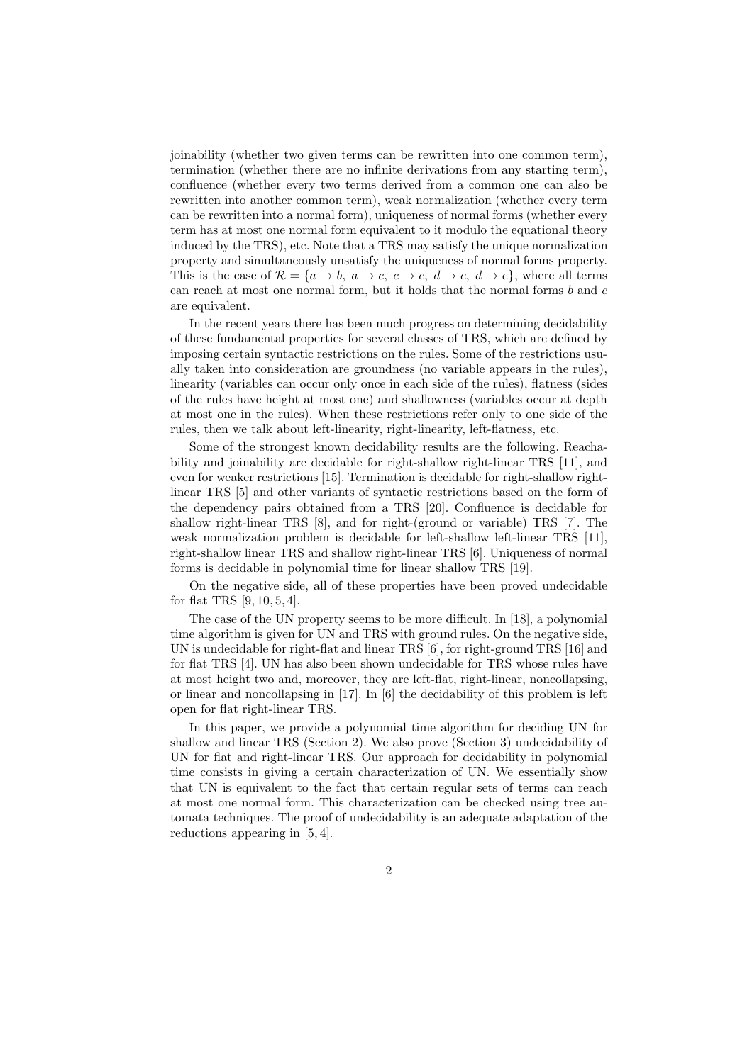joinability (whether two given terms can be rewritten into one common term), termination (whether there are no infinite derivations from any starting term), confluence (whether every two terms derived from a common one can also be rewritten into another common term), weak normalization (whether every term can be rewritten into a normal form), uniqueness of normal forms (whether every term has at most one normal form equivalent to it modulo the equational theory induced by the TRS), etc. Note that a TRS may satisfy the unique normalization property and simultaneously unsatisfy the uniqueness of normal forms property. This is the case of  $\mathcal{R} = \{a \to b, a \to c, c \to c, d \to c, d \to e\}$ , where all terms can reach at most one normal form, but it holds that the normal forms  $b$  and  $c$ are equivalent.

In the recent years there has been much progress on determining decidability of these fundamental properties for several classes of TRS, which are defined by imposing certain syntactic restrictions on the rules. Some of the restrictions usually taken into consideration are groundness (no variable appears in the rules), linearity (variables can occur only once in each side of the rules), flatness (sides of the rules have height at most one) and shallowness (variables occur at depth at most one in the rules). When these restrictions refer only to one side of the rules, then we talk about left-linearity, right-linearity, left-flatness, etc.

Some of the strongest known decidability results are the following. Reachability and joinability are decidable for right-shallow right-linear TRS [11], and even for weaker restrictions [15]. Termination is decidable for right-shallow rightlinear TRS [5] and other variants of syntactic restrictions based on the form of the dependency pairs obtained from a TRS [20]. Confluence is decidable for shallow right-linear TRS [8], and for right-(ground or variable) TRS [7]. The weak normalization problem is decidable for left-shallow left-linear TRS [11], right-shallow linear TRS and shallow right-linear TRS [6]. Uniqueness of normal forms is decidable in polynomial time for linear shallow TRS [19].

On the negative side, all of these properties have been proved undecidable for flat TRS [9, 10, 5, 4].

The case of the UN property seems to be more difficult. In [18], a polynomial time algorithm is given for UN and TRS with ground rules. On the negative side, UN is undecidable for right-flat and linear TRS [6], for right-ground TRS [16] and for flat TRS [4]. UN has also been shown undecidable for TRS whose rules have at most height two and, moreover, they are left-flat, right-linear, noncollapsing, or linear and noncollapsing in [17]. In [6] the decidability of this problem is left open for flat right-linear TRS.

In this paper, we provide a polynomial time algorithm for deciding UN for shallow and linear TRS (Section 2). We also prove (Section 3) undecidability of UN for flat and right-linear TRS. Our approach for decidability in polynomial time consists in giving a certain characterization of UN. We essentially show that UN is equivalent to the fact that certain regular sets of terms can reach at most one normal form. This characterization can be checked using tree automata techniques. The proof of undecidability is an adequate adaptation of the reductions appearing in [5, 4].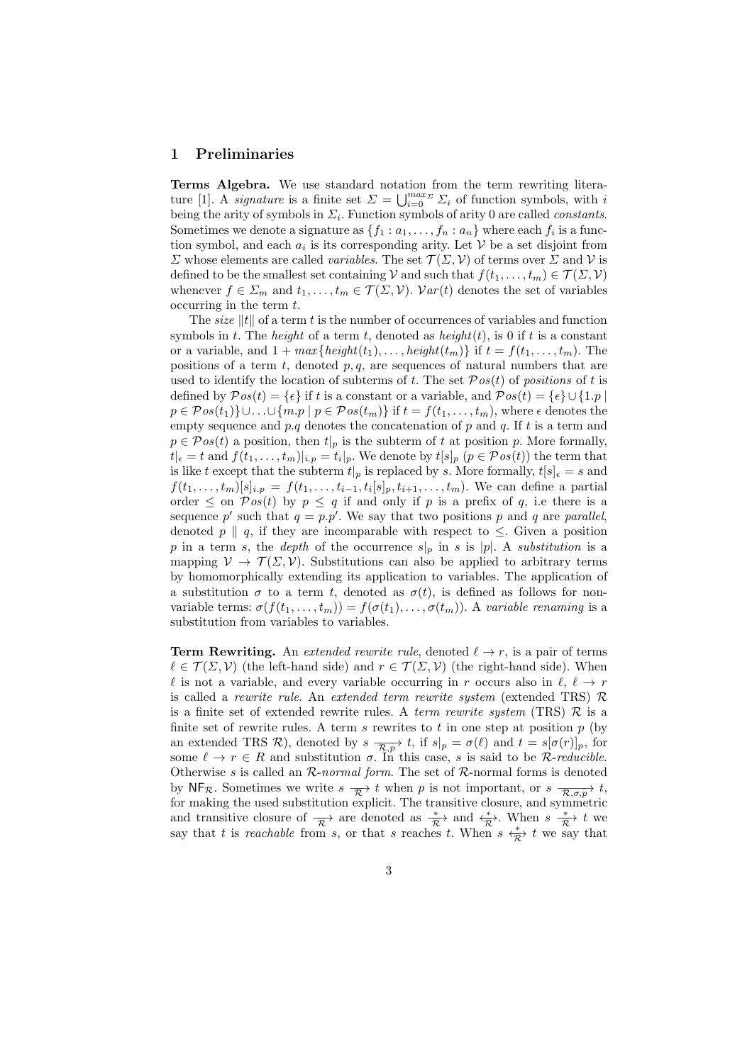### 1 Preliminaries

Terms Algebra. We use standard notation from the term rewriting literature [1]. A *signature* is a finite set  $\Sigma = \bigcup_{i=0}^{max_{\Sigma}} \Sigma_i$  of function symbols, with i being the arity of symbols in  $\Sigma_i$ . Function symbols of arity 0 are called *constants*. Sometimes we denote a signature as  $\{f_1 : a_1, \ldots, f_n : a_n\}$  where each  $f_i$  is a function symbol, and each  $a_i$  is its corresponding arity. Let  $\mathcal V$  be a set disjoint from  $\Sigma$  whose elements are called *variables*. The set  $\mathcal{T}(\Sigma, \mathcal{V})$  of terms over  $\Sigma$  and  $\mathcal{V}$  is defined to be the smallest set containing V and such that  $f(t_1, \ldots, t_m) \in \mathcal{T}(\Sigma, \mathcal{V})$ whenever  $f \in \Sigma_m$  and  $t_1, \ldots, t_m \in \mathcal{T}(\Sigma, \mathcal{V})$ .  $Var(t)$  denotes the set of variables occurring in the term  $t$ .

The *size*  $||t||$  of a term t is the number of occurrences of variables and function symbols in t. The height of a term t, denoted as  $height(t)$ , is 0 if t is a constant or a variable, and  $1 + max{height(t_1), \ldots, height(t_m)}$  if  $t = f(t_1, \ldots, t_m)$ . The positions of a term  $t$ , denoted  $p, q$ , are sequences of natural numbers that are used to identify the location of subterms of t. The set  $\mathcal{P}os(t)$  of positions of t is defined by  $\mathcal{P}os(t) = \{\epsilon\}$  if t is a constant or a variable, and  $\mathcal{P}os(t) = \{\epsilon\} \cup \{1, p\}$  $p \in \mathcal{P}os(t_1)\} \cup \ldots \cup \{m.p \mid p \in \mathcal{P}os(t_m)\}$  if  $t = f(t_1, \ldots, t_m)$ , where  $\epsilon$  denotes the empty sequence and  $p.q$  denotes the concatenation of p and q. If t is a term and  $p \in \mathcal{P}os(t)$  a position, then  $t|_p$  is the subterm of t at position p. More formally,  $t|_{\epsilon} = t$  and  $f(t_1, \ldots, t_m)|_{i,p} = t_i|_p$ . We denote by  $t[s]_p$   $(p \in \mathcal{P}os(t))$  the term that is like t except that the subterm  $t|_p$  is replaced by s. More formally,  $t[s]_\epsilon = s$  and  $f(t_1,...,t_m)[s]_{i,p} = f(t_1,...,t_{i-1},t_i[s]_p,t_{i+1},...,t_m)$ . We can define a partial order  $\leq$  on  $\mathcal{P}$ os(t) by  $p \leq q$  if and only if p is a prefix of q, i.e there is a sequence p' such that  $q = p.p'$ . We say that two positions p and q are parallel, denoted p || q, if they are incomparable with respect to  $\leq$ . Given a position p in a term s, the depth of the occurrence  $s|_p$  in s is |p|. A substitution is a mapping  $\mathcal{V} \to \mathcal{T}(\Sigma, \mathcal{V})$ . Substitutions can also be applied to arbitrary terms by homomorphically extending its application to variables. The application of a substitution  $\sigma$  to a term t, denoted as  $\sigma(t)$ , is defined as follows for nonvariable terms:  $\sigma(f(t_1,\ldots,t_m)) = f(\sigma(t_1),\ldots,\sigma(t_m))$ . A variable renaming is a substitution from variables to variables.

**Term Rewriting.** An *extended rewrite rule*, denoted  $\ell \rightarrow r$ , is a pair of terms  $\ell \in \mathcal{T}(\Sigma, \mathcal{V})$  (the left-hand side) and  $r \in \mathcal{T}(\Sigma, \mathcal{V})$  (the right-hand side). When  $\ell$  is not a variable, and every variable occurring in r occurs also in  $\ell, \ell \to r$ is called a rewrite rule. An extended term rewrite system (extended TRS)  $\mathcal{R}$ is a finite set of extended rewrite rules. A term rewrite system (TRS)  $\mathcal{R}$  is a finite set of rewrite rules. A term  $s$  rewrites to  $t$  in one step at position  $p$  (by an extended TRS R), denoted by  $s \xrightarrow[\mathcal{R},p]{} t$ , if  $s|_p = \sigma(\ell)$  and  $t = s[\sigma(r)]_p$ , for some  $\ell \to r \in R$  and substitution  $\sigma$ . In this case, s is said to be R-reducible. Otherwise s is called an  $R$ -normal form. The set of  $R$ -normal forms is denoted by NF<sub>R</sub>. Sometimes we write  $s \xrightarrow{\mathcal{R}} t$  when p is not important, or  $s \xrightarrow[\mathcal{R},\sigma,p]} t$ , for making the used substitution explicit. The transitive closure, and symmetric and transitive closure of  $\frac{\pi}{\mathcal{R}}$  are denoted as  $\frac{*}{\mathcal{R}}$  and  $\frac{\pi}{\mathcal{R}}$ . When  $s \frac{*}{\mathcal{R}}$  t we say that t is reachable from s, or that s reaches t. When  $s \leftrightarrow \pi$  t we say that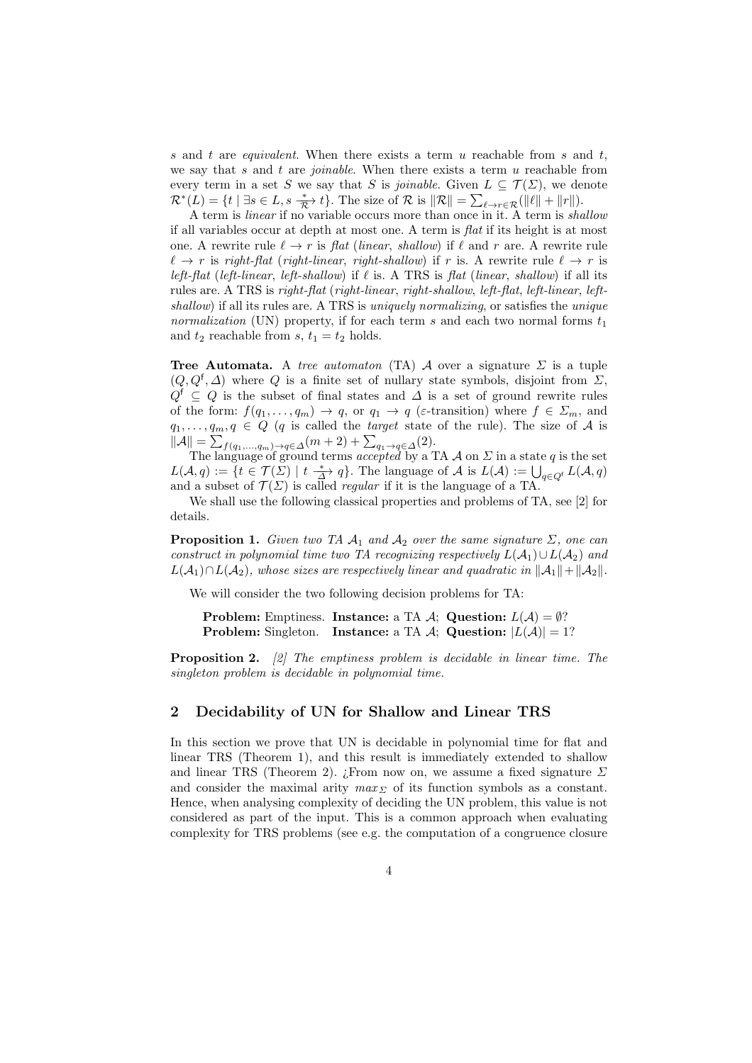s and t are *equivalent*. When there exists a term u reachable from s and t, we say that s and t are *joinable*. When there exists a term u reachable from every term in a set S we say that S is joinable. Given  $L \subseteq \mathcal{T}(\Sigma)$ , we denote  $\mathcal{R}^*(L) = \{t \mid \exists s \in L, s \frac{\ast}{\mathcal{R}} t\}.$  The size of  $\mathcal{R}$  is  $\|\mathcal{R}\| = \sum_{\ell \to r \in \mathcal{R}} (\|\ell\| + \|r\|).$ 

A term is linear if no variable occurs more than once in it. A term is shallow if all variables occur at depth at most one. A term is flat if its height is at most one. A rewrite rule  $\ell \to r$  is flat (linear, shallow) if  $\ell$  and r are. A rewrite rule  $\ell \to r$  is right-flat (right-linear, right-shallow) if r is. A rewrite rule  $\ell \to r$  is left-flat (left-linear, left-shallow) if  $\ell$  is. A TRS is flat (linear, shallow) if all its rules are. A TRS is right-flat (right-linear, right-shallow, left-flat, left-linear, leftshallow) if all its rules are. A TRS is uniquely normalizing, or satisfies the unique normalization (UN) property, if for each term s and each two normal forms  $t_1$ and  $t_2$  reachable from  $s, t_1 = t_2$  holds.

**Tree Automata.** A tree automaton (TA) A over a signature  $\Sigma$  is a tuple  $(Q, Q^f, \Delta)$  where Q is a finite set of nullary state symbols, disjoint from  $\Sigma$ ,  $Q^f \subseteq Q$  is the subset of final states and  $\Delta$  is a set of ground rewrite rules of the form:  $f(q_1, \ldots, q_m) \to q$ , or  $q_1 \to q$  ( $\varepsilon$ -transition) where  $f \in \Sigma_m$ , and  $q_1, \ldots, q_m, q \in Q$  (q is called the *target* state of the rule). The size of A is  $||\mathcal{A}|| = \sum_{f(q_1,...,q_m)\to q\in\Delta}(m+2) + \sum_{q_1\to q\in\Delta}(2).$ 

The language of ground terms *accepted* by a TA  $\mathcal A$  on  $\Sigma$  in a state  $q$  is the set  $L(\mathcal{A}, q) := \{ t \in \mathcal{T}(\Sigma) \mid t \frac{*}{\Delta} q \}.$  The language of  $\mathcal{A}$  is  $L(\mathcal{A}) := \bigcup_{q \in Q^{\mathsf{f}}} L(\mathcal{A}, q)$ and a subset of  $\mathcal{T}(\Sigma)$  is called *regular* if it is the language of a TA.

We shall use the following classical properties and problems of TA, see [2] for details.

**Proposition 1.** Given two TA  $\mathcal{A}_1$  and  $\mathcal{A}_2$  over the same signature  $\Sigma$ , one can construct in polynomial time two TA recognizing respectively  $L(\mathcal{A}_1) \cup L(\mathcal{A}_2)$  and  $L(\mathcal{A}_1) \cap L(\mathcal{A}_2)$ , whose sizes are respectively linear and quadratic in  $\|\mathcal{A}_1\|$  +  $\|\mathcal{A}_2\|$ .

We will consider the two following decision problems for TA:

**Problem:** Emptiness. **Instance:** a TA A: Question:  $L(A) = \emptyset$ ? **Problem:** Singleton. **Instance:** a TA A; Question:  $|L(A)| = 1$ ?

**Proposition 2.** [2] The emptiness problem is decidable in linear time. The singleton problem is decidable in polynomial time.

# 2 Decidability of UN for Shallow and Linear TRS

In this section we prove that UN is decidable in polynomial time for flat and linear TRS (Theorem 1), and this result is immediately extended to shallow and linear TRS (Theorem 2). ¿From now on, we assume a fixed signature  $\Sigma$ and consider the maximal arity  $max_{\Sigma}$  of its function symbols as a constant. Hence, when analysing complexity of deciding the UN problem, this value is not considered as part of the input. This is a common approach when evaluating complexity for TRS problems (see e.g. the computation of a congruence closure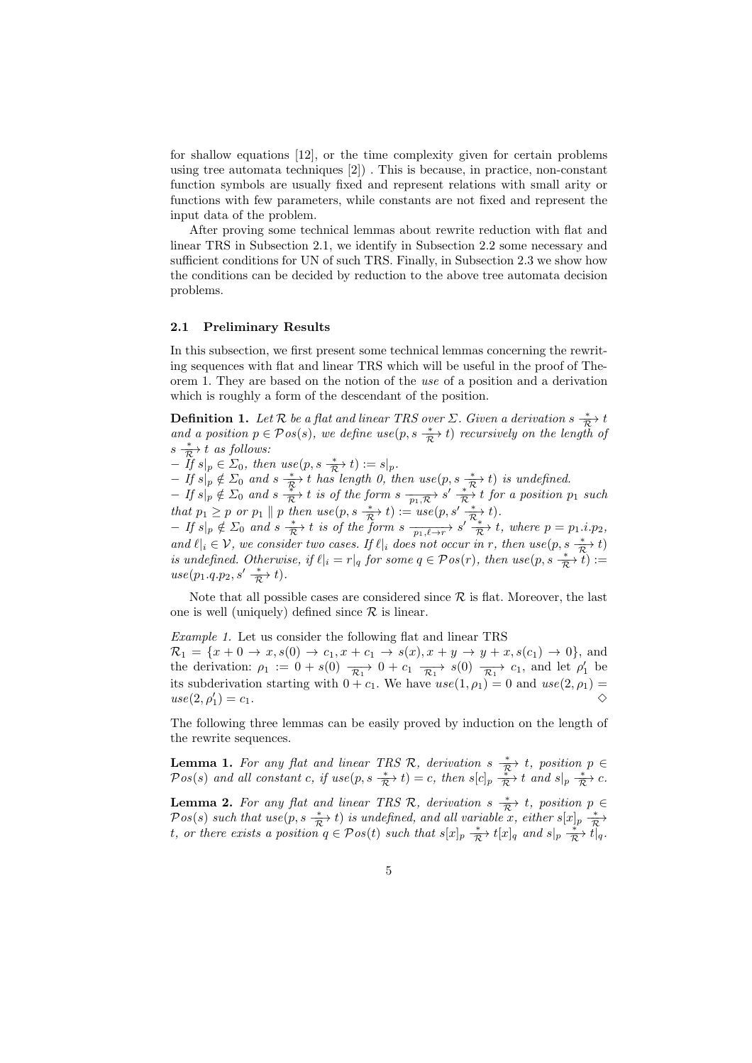for shallow equations [12], or the time complexity given for certain problems using tree automata techniques [2]) . This is because, in practice, non-constant function symbols are usually fixed and represent relations with small arity or functions with few parameters, while constants are not fixed and represent the input data of the problem.

After proving some technical lemmas about rewrite reduction with flat and linear TRS in Subsection 2.1, we identify in Subsection 2.2 some necessary and sufficient conditions for UN of such TRS. Finally, in Subsection 2.3 we show how the conditions can be decided by reduction to the above tree automata decision problems.

#### 2.1 Preliminary Results

In this subsection, we first present some technical lemmas concerning the rewriting sequences with flat and linear TRS which will be useful in the proof of Theorem 1. They are based on the notion of the use of a position and a derivation which is roughly a form of the descendant of the position.

**Definition 1.** Let R be a flat and linear TRS over  $\Sigma$ . Given a derivation s  $\frac{*}{R}$  t and a position  $p \in \mathcal{P}os(s)$ , we define use $(p, s \frac{*}{\mathcal{R}} \rightarrow t)$  recursively on the length of  $s \xrightarrow{\ast} t$  as follows:

 $-\iint s|_p \in \Sigma_0$ , then use $(p, s \frac{*}{\mathcal{R}} \rightarrow t) := s|_p$ .

 $-If s|_p \notin \Sigma_0$  and  $s \frac{*}{\mathcal{R}} \rightarrow t$  has length 0, then use $(p, s \frac{*}{\mathcal{R}} \rightarrow t)$  is undefined.

 $-If s|_p \notin \Sigma_0$  and  $s \stackrel{\approx}{\pi} t$  is of the form  $s \stackrel{\sim}{\pi_1, \pi} s' \stackrel{\ast}{\pi} t$  for a position  $p_1$  such that  $p_1 \geq p$  or  $p_1 \parallel p$  then  $use(p, s \xrightarrow{\pi} t) := use(p, s' \xrightarrow{\pi} t)$ .

 $-If s|_p \notin \Sigma_0$  and  $s \frac{*}{\mathcal{R}} t$  is of the form  $s \frac{1}{p_1, \ell \to r} s' \frac{\kappa}{\mathcal{R}} t$ , where  $p = p_1.i.p_2$ , and  $\ell |_{i} \in \mathcal{V}$ , we consider two cases. If  $\ell |_{i}$  does not occur in r, then use $(p, s, \frac{*}{\mathcal{R}})$ is undefined. Otherwise, if  $\ell|_i = r|_q$  for some  $q \in \mathcal{P}os(r)$ , then use $(p, s \frac{*}{\mathcal{R}}) :=$  $use(p_1.q.p_2, s' \xrightarrow{\ast} t).$ 

Note that all possible cases are considered since  $R$  is flat. Moreover, the last one is well (uniquely) defined since  $R$  is linear.

Example 1. Let us consider the following flat and linear TRS  $\mathcal{R}_1 = \{x + 0 \to x, s(0) \to c_1, x + c_1 \to s(x), x + y \to y + x, s(c_1) \to 0\}$ , and the derivation:  $\rho_1 := 0 + s(0) \xrightarrow[\mathcal{R}_1]{} 0 + c_1 \xrightarrow[\mathcal{R}_1]{} s(0) \xrightarrow[\mathcal{R}_1]{} c_1$ , and let  $\rho'_1$  be its subderivation starting with  $0 + c_1$ . We have  $use(1, \rho_1) = 0$  and  $use(2, \rho_1) =$  $use(2, \rho'_1)$  $) = c_1.$ 

The following three lemmas can be easily proved by induction on the length of the rewrite sequences.

**Lemma 1.** For any flat and linear TRS R, derivation  $s \frac{*}{\mathcal{R}}$  t, position  $p \in$  $\mathcal{P}os(s)$  and all constant c, if use $(p, s \frac{*}{\mathcal{R}} t) = c$ , then  $s[c]_p \frac{\mathcal{L}}{\mathcal{R}} t$  and  $s|_p \frac{*}{\mathcal{R}} c$ .

**Lemma 2.** For any flat and linear TRS R, derivation  $s \frac{*}{\mathcal{R}}$  t, position  $p \in$  $\mathcal{P}os(s)$  such that use $(p, s \frac{\ast}{\mathcal{R}} \rightarrow t)$  is undefined, and all variable x, either  $s[x]_p \frac{\ast}{\mathcal{R}} \rightarrow$ <br>t, or there exists a position  $q \in \mathcal{P}os(t)$  such that  $s[x]_p \frac{\ast}{\mathcal{R}} t[x]_q$  and  $s|_p \frac{\ast}{\mathcal{R}} \rightarrow t]_q$ .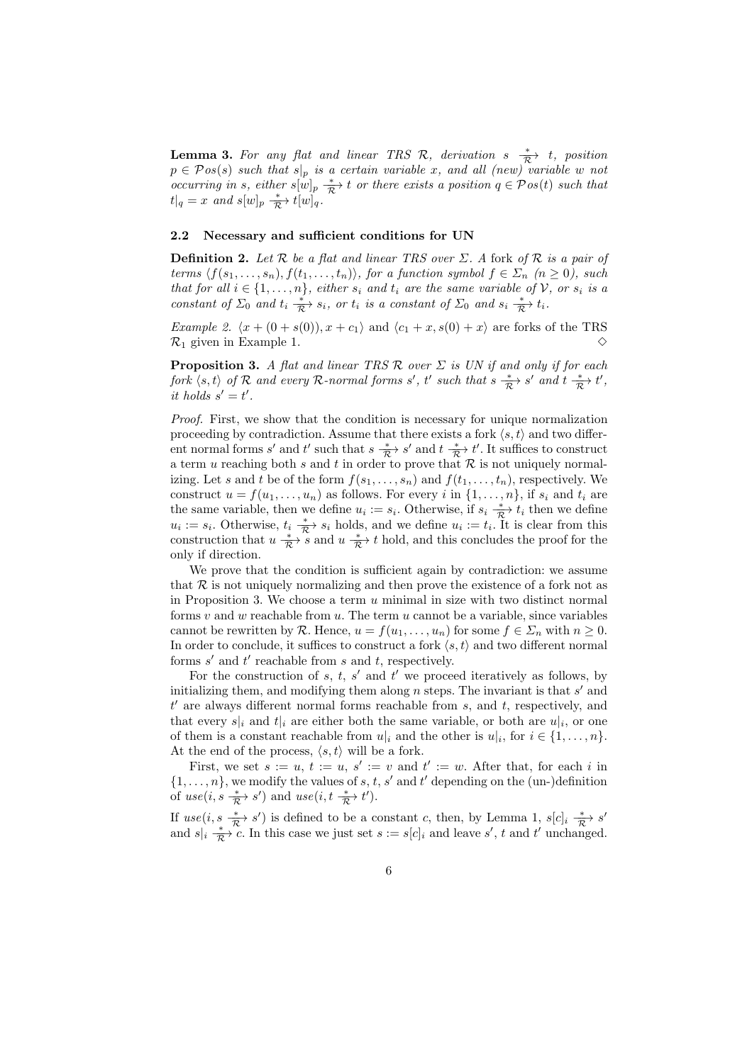**Lemma 3.** For any flat and linear TRS R, derivation s  $\frac{*}{\mathcal{R}}$  t, position  $p \in \mathcal{P}os(s)$  such that  $s|_p$  is a certain variable x, and all (new) variable w not occurring in s, either  $s[w]_p \overset{*}{\underset{\mathcal{R}}{\rightarrow}} t$  or there exists a position  $q \in \mathcal{P}os(t)$  such that  $t|_q = x$  and  $s[w]_p \overset{*}{\underset{\mathcal{R}}{\longrightarrow}} t[w]_q$ .

#### 2.2 Necessary and sufficient conditions for UN

**Definition 2.** Let  $\mathcal{R}$  be a flat and linear TRS over  $\Sigma$ . A fork of  $\mathcal{R}$  is a pair of terms  $\langle f(s_1, \ldots, s_n), f(t_1, \ldots, t_n) \rangle$ , for a function symbol  $f \in \Sigma_n$   $(n \geq 0)$ , such that for all  $i \in \{1, \ldots, n\}$ , either  $s_i$  and  $t_i$  are the same variable of  $\mathcal{V}$ , or  $s_i$  is a constant of  $\Sigma_0$  and  $t_i \frac{*}{\mathcal{R}} s_i$ , or  $t_i$  is a constant of  $\Sigma_0$  and  $s_i \frac{*}{\mathcal{R}} t_i$ .

Example 2.  $\langle x + (0 + s(0)), x + c_1 \rangle$  and  $\langle c_1 + x, s(0) + x \rangle$  are forks of the TRS  $\mathcal{R}_1$  given in Example 1.  $\Diamond$ 

**Proposition 3.** A flat and linear TRS  $\mathcal{R}$  over  $\Sigma$  is UN if and only if for each  ${\it fork} \, \langle s, t \rangle \, \textit{of} \, \mathcal{R} \, \textit{and every} \, \mathcal{R}\textit{-normal forms} \, \textit{s}', \, t' \, \textit{such that} \, \textit{s} \, \frac{*}{\mathcal{R}} \rangle \, \textit{s}' \, \textit{and} \, t \, \frac{*}{\mathcal{R}} \rangle \, t',$ it holds  $s' = t'$ .

Proof. First, we show that the condition is necessary for unique normalization proceeding by contradiction. Assume that there exists a fork  $\langle s, t \rangle$  and two different normal forms s' and t' such that  $s \frac{*}{\mathcal{R}} s'$  and  $t \frac{*}{\mathcal{R}} t'$ . It suffices to construct a term u reaching both s and t in order to prove that  $R$  is not uniquely normalizing. Let s and t be of the form  $f(s_1, \ldots, s_n)$  and  $f(t_1, \ldots, t_n)$ , respectively. We construct  $u = f(u_1, \ldots, u_n)$  as follows. For every i in  $\{1, \ldots, n\}$ , if  $s_i$  and  $t_i$  are the same variable, then we define  $u_i := s_i$ . Otherwise, if  $s_i \frac{*}{\mathcal{R}}$  t<sub>i</sub> then we define  $u_i := s_i$ . Otherwise,  $t_i \frac{\ast}{\mathcal{R}} s_i$  holds, and we define  $u_i := t_i$ . It is clear from this construction that  $u \frac{*}{\mathcal{R}} \to \infty$  and  $u \frac{*}{\mathcal{R}} \to t$  hold, and this concludes the proof for the only if direction.

We prove that the condition is sufficient again by contradiction: we assume that  $\mathcal R$  is not uniquely normalizing and then prove the existence of a fork not as in Proposition 3. We choose a term  $u$  minimal in size with two distinct normal forms  $v$  and  $w$  reachable from  $u$ . The term  $u$  cannot be a variable, since variables cannot be rewritten by R. Hence,  $u = f(u_1, \ldots, u_n)$  for some  $f \in \Sigma_n$  with  $n \geq 0$ . In order to conclude, it suffices to construct a fork  $\langle s, t \rangle$  and two different normal forms  $s'$  and  $t'$  reachable from  $s$  and  $t$ , respectively.

For the construction of  $s, t, s'$  and  $t'$  we proceed iteratively as follows, by initializing them, and modifying them along  $n$  steps. The invariant is that  $s'$  and  $t'$  are always different normal forms reachable from  $s$ , and  $t$ , respectively, and that every  $s|_i$  and  $t|_i$  are either both the same variable, or both are  $u|_i$ , or one of them is a constant reachable from  $u|_i$  and the other is  $u|_i$ , for  $i \in \{1, \ldots, n\}$ . At the end of the process,  $\langle s, t \rangle$  will be a fork.

First, we set  $s := u, t := u, s' := v$  and  $t' := w$ . After that, for each i in  $\{1, \ldots, n\}$ , we modify the values of s, t, s' and t' depending on the (un-)definition of  $use(i, s \frac{*}{\mathcal{R}} \rightarrow s')$  and  $use(i, t \frac{*}{\mathcal{R}} \rightarrow t')$ .

If  $use(i, s - \frac{*}{R} s')$  is defined to be a constant c, then, by Lemma 1,  $s[c]_i \frac{*}{R} s'$ and  $s|_i \frac{\ast}{\mathcal{R}}$ . In this case we just set  $s := s[c]_i$  and leave s', t and t' unchanged.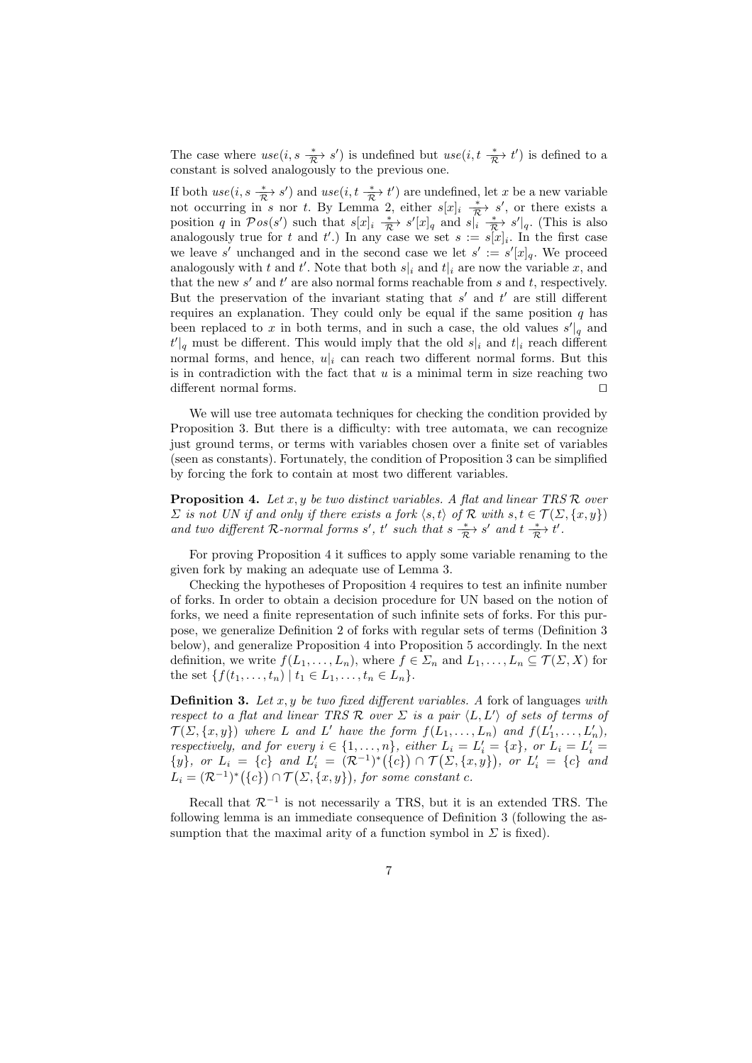The case where  $use(i, s \frac{*}{\mathcal{R}} s')$  is undefined but  $use(i, t \frac{*}{\mathcal{R}} t')$  is defined to a constant is solved analogously to the previous one.

If both  $use(i, s = \frac{*}{R} s')$  and  $use(i, t = \frac{*}{R} t')$  are undefined, let x be a new variable not occurring in s nor t. By Lemma 2, either  $s[x]_i \frac{\pi}{\mathcal{R}}$ , s', or there exists a position q in  $\mathcal{P}os(s')$  such that  $s[x]_i \stackrel{*}{\pi} s'[x]_q$  and  $s\stackrel{\sim}{\downarrow} \stackrel{*}{\pi} s'\stackrel{\sim}{\downarrow} q$ . (This is also analogously true for t and t'.) In any case we set  $s := s[x]_i$ . In the first case we leave s' unchanged and in the second case we let  $s' := s'[x]_q$ . We proceed analogously with t and t'. Note that both  $s|_i$  and  $t|_i$  are now the variable x, and that the new  $s'$  and  $t'$  are also normal forms reachable from  $s$  and  $t$ , respectively. But the preservation of the invariant stating that  $s'$  and  $t'$  are still different requires an explanation. They could only be equal if the same position  $q$  has been replaced to x in both terms, and in such a case, the old values  $s'|_q$  and  $t'|_q$  must be different. This would imply that the old  $s|_i$  and  $t|_i$  reach different normal forms, and hence,  $u|_i$  can reach two different normal forms. But this is in contradiction with the fact that  $u$  is a minimal term in size reaching two different normal forms. ⊓⊔

We will use tree automata techniques for checking the condition provided by Proposition 3. But there is a difficulty: with tree automata, we can recognize just ground terms, or terms with variables chosen over a finite set of variables (seen as constants). Fortunately, the condition of Proposition 3 can be simplified by forcing the fork to contain at most two different variables.

**Proposition 4.** Let x, y be two distinct variables. A flat and linear TRS  $\mathcal{R}$  over  $\Sigma$  is not UN if and only if there exists a fork  $\langle s, t \rangle$  of R with  $s, t \in \mathcal{T}(\Sigma, \{x, y\})$ and two different R-normal forms s', t' such that  $s \frac{\ast}{\mathcal{R}} s'$  and  $t \frac{\ast}{\mathcal{R}} t'$ .

For proving Proposition 4 it suffices to apply some variable renaming to the given fork by making an adequate use of Lemma 3.

Checking the hypotheses of Proposition 4 requires to test an infinite number of forks. In order to obtain a decision procedure for UN based on the notion of forks, we need a finite representation of such infinite sets of forks. For this purpose, we generalize Definition 2 of forks with regular sets of terms (Definition 3 below), and generalize Proposition 4 into Proposition 5 accordingly. In the next definition, we write  $f(L_1, \ldots, L_n)$ , where  $f \in \Sigma_n$  and  $L_1, \ldots, L_n \subseteq \mathcal{T}(\Sigma, X)$  for the set  $\{f(t_1, \ldots, t_n) \mid t_1 \in L_1, \ldots, t_n \in L_n\}.$ 

**Definition 3.** Let  $x, y$  be two fixed different variables. A fork of languages with respect to a flat and linear TRS R over  $\Sigma$  is a pair  $\langle L, L' \rangle$  of sets of terms of  $\mathcal{T}(\Sigma, \{x, y\})$  where L and L' have the form  $f(L_1, \ldots, L_n)$  and  $f(L'_1, \ldots, L'_n)$ , respectively, and for every  $i \in \{1, ..., n\}$ , either  $L_i = L'_i = \{x\}$ , or  $L_i = L'_i =$  $\{y\}$ , or  $L_i = \{c\}$  and  $L'_i = (\mathcal{R}^{-1})^* (\{c\}) \cap \mathcal{T}(\Sigma, \{x, y\})$ , or  $L'_i = \{c\}$  and  $L_i = (\mathcal{R}^{-1})^*\big(\{c\}\big) \cap \mathcal{T}\big(\Sigma,\{x,y\}\big)$ , for some constant c.

Recall that  $\mathcal{R}^{-1}$  is not necessarily a TRS, but it is an extended TRS. The following lemma is an immediate consequence of Definition 3 (following the assumption that the maximal arity of a function symbol in  $\Sigma$  is fixed).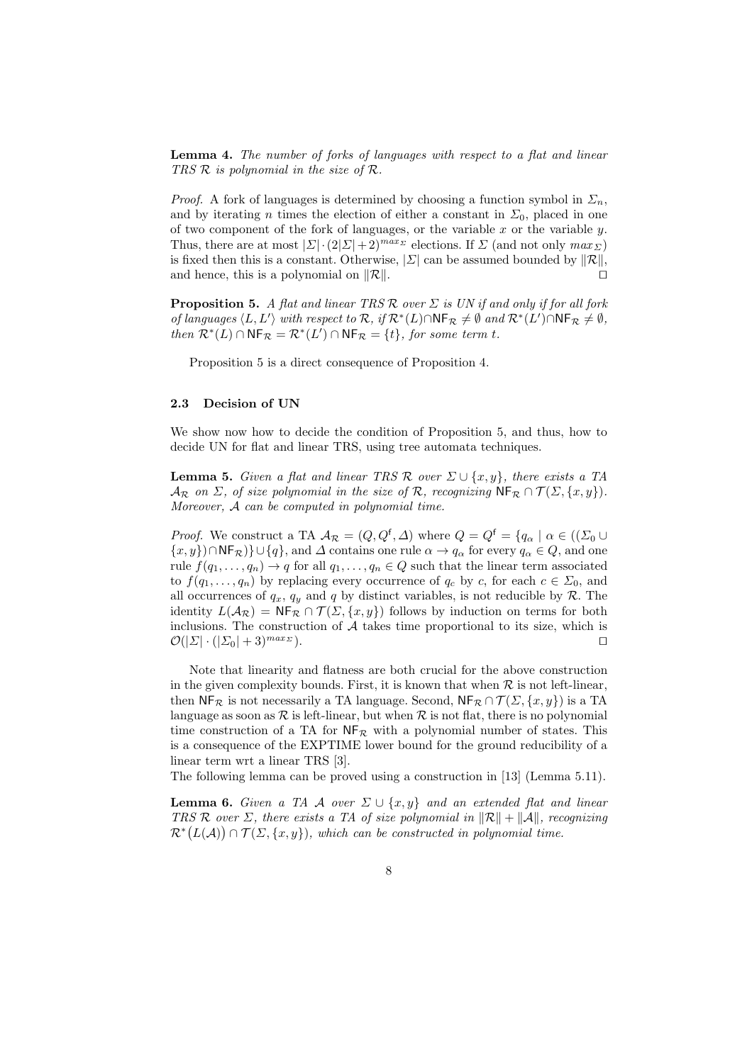Lemma 4. The number of forks of languages with respect to a flat and linear TRS R is polynomial in the size of R.

*Proof.* A fork of languages is determined by choosing a function symbol in  $\Sigma_n$ , and by iterating n times the election of either a constant in  $\Sigma_0$ , placed in one of two component of the fork of languages, or the variable x or the variable  $y$ . Thus, there are at most  $|\Sigma| \cdot (2|\Sigma| + 2)^{max_{\Sigma}}$  elections. If  $\Sigma$  (and not only  $max_{\Sigma}$ ) is fixed then this is a constant. Otherwise,  $|\Sigma|$  can be assumed bounded by  $||\mathcal{R}||$ , and hence, this is a polynomial on  $\mathcal{R}$ . □

**Proposition 5.** A flat and linear TRS R over  $\Sigma$  is UN if and only if for all fork of languages  $\langle L, L' \rangle$  with respect to  $\mathcal{R}$ , if  $\mathcal{R}^*(L) \cap \mathsf{NF}_{\mathcal{R}} \neq \emptyset$  and  $\mathcal{R}^*(L') \cap \mathsf{NF}_{\mathcal{R}} \neq \emptyset$ , then  $\mathcal{R}^*(L) \cap \text{NF}_{\mathcal{R}} = \mathcal{R}^*(L') \cap \text{NF}_{\mathcal{R}} = \{t\},$  for some term t.

Proposition 5 is a direct consequence of Proposition 4.

#### 2.3 Decision of UN

We show now how to decide the condition of Proposition 5, and thus, how to decide UN for flat and linear TRS, using tree automata techniques.

**Lemma 5.** Given a flat and linear TRS R over  $\Sigma \cup \{x, y\}$ , there exists a TA  $\mathcal{A}_{\mathcal{R}}$  on  $\Sigma$ , of size polynomial in the size of  $\mathcal{R}$ , recognizing  $\mathsf{NF}_{\mathcal{R}} \cap \mathcal{T}(\Sigma, \{x, y\}).$ Moreover, A can be computed in polynomial time.

*Proof.* We construct a TA  $A_{\mathcal{R}} = (Q, Q^f, \Delta)$  where  $Q = Q^f = \{q_\alpha \mid \alpha \in ((\Sigma_0 \cup$  $\{x, y\}$ )∩NF<sub>R</sub>)}∪ $\{q\}$ , and  $\Delta$  contains one rule  $\alpha \to q_\alpha$  for every  $q_\alpha \in Q$ , and one rule  $f(q_1, \ldots, q_n) \to q$  for all  $q_1, \ldots, q_n \in Q$  such that the linear term associated to  $f(q_1,\ldots,q_n)$  by replacing every occurrence of  $q_c$  by c, for each  $c \in \Sigma_0$ , and all occurrences of  $q_x$ ,  $q_y$  and q by distinct variables, is not reducible by  $\mathcal{R}$ . The identity  $L(\mathcal{A}_{\mathcal{R}}) = \mathsf{NF}_{\mathcal{R}} \cap \mathcal{T}(\Sigma, \{x, y\})$  follows by induction on terms for both inclusions. The construction of  $A$  takes time proportional to its size, which is  $\mathcal{O}(|\Sigma| \cdot (|\Sigma_0|+3)^{max\Sigma}).$ 

Note that linearity and flatness are both crucial for the above construction in the given complexity bounds. First, it is known that when  $R$  is not left-linear, then  $NF_{\mathcal{R}}$  is not necessarily a TA language. Second,  $NF_{\mathcal{R}} \cap \mathcal{T}(\Sigma, \{x, y\})$  is a TA language as soon as  $\mathcal R$  is left-linear, but when  $\mathcal R$  is not flat, there is no polynomial time construction of a TA for  $NF_{\mathcal{R}}$  with a polynomial number of states. This is a consequence of the EXPTIME lower bound for the ground reducibility of a linear term wrt a linear TRS [3].

The following lemma can be proved using a construction in [13] (Lemma 5.11).

**Lemma 6.** Given a TA A over  $\Sigma \cup \{x, y\}$  and an extended flat and linear TRS R over  $\Sigma$ , there exists a TA of size polynomial in  $\|\mathcal{R}\| + \|\mathcal{A}\|$ , recognizing  $\mathcal{R}^*(L(\mathcal{A})) \cap \mathcal{T}(\Sigma, \{x, y\}),$  which can be constructed in polynomial time.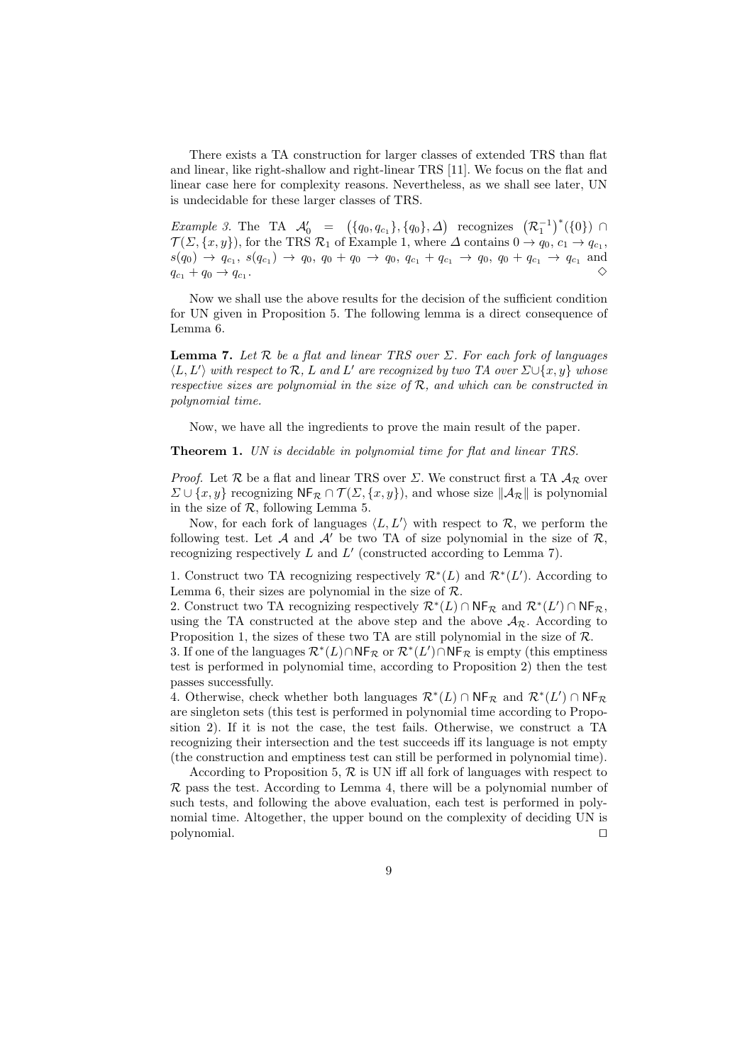There exists a TA construction for larger classes of extended TRS than flat and linear, like right-shallow and right-linear TRS [11]. We focus on the flat and linear case here for complexity reasons. Nevertheless, as we shall see later, UN is undecidable for these larger classes of TRS.

Example 3. The TA  $\mathcal{A}'_0 = (\{q_0, q_{c_1}\}, \{q_0\}, \Delta)$  recognizes  $(\mathcal{R}_1^{-1})^*(\{0\}) \cap$  $\mathcal{T}(\Sigma, \{x, y\})$ , for the TRS  $\mathcal{R}_1$  of Example 1, where  $\Delta$  contains  $0 \to q_0, c_1 \to q_{c_1},$  $s(q_0) \rightarrow q_{c_1}, s(q_{c_1}) \rightarrow q_0, q_0 + q_0 \rightarrow q_0, q_{c_1} + q_{c_1} \rightarrow q_0, q_0 + q_{c_1} \rightarrow q_{c_1}$  and  $q_{c_1} + q_0 \to q_{c_1}.$ .  $\Diamond$ 

Now we shall use the above results for the decision of the sufficient condition for UN given in Proposition 5. The following lemma is a direct consequence of Lemma 6.

**Lemma 7.** Let R be a flat and linear TRS over  $\Sigma$ . For each fork of languages  $\langle L, L' \rangle$  with respect to R, L and L' are recognized by two TA over  $\Sigma \cup \{x, y\}$  whose respective sizes are polynomial in the size of  $\mathcal{R}$ , and which can be constructed in polynomial time.

Now, we have all the ingredients to prove the main result of the paper.

#### Theorem 1. UN is decidable in polynomial time for flat and linear TRS.

*Proof.* Let R be a flat and linear TRS over  $\Sigma$ . We construct first a TA  $\mathcal{A}_{R}$  over  $\Sigma \cup \{x, y\}$  recognizing  $\mathsf{NF}_{\mathcal{R}} \cap \mathcal{T}(\Sigma, \{x, y\})$ , and whose size  $\|\mathcal{A}_{\mathcal{R}}\|$  is polynomial in the size of  $R$ , following Lemma 5.

Now, for each fork of languages  $\langle L, L' \rangle$  with respect to  $\mathcal{R}$ , we perform the following test. Let A and  $A'$  be two TA of size polynomial in the size of R, recognizing respectively  $L$  and  $L'$  (constructed according to Lemma 7).

1. Construct two TA recognizing respectively  $\mathcal{R}^*(L)$  and  $\mathcal{R}^*(L')$ . According to Lemma 6, their sizes are polynomial in the size of  $\mathcal{R}$ .

2. Construct two TA recognizing respectively  $\mathcal{R}^*(L) \cap \text{NF}_{\mathcal{R}}$  and  $\mathcal{R}^*(L') \cap \text{NF}_{\mathcal{R}}$ , using the TA constructed at the above step and the above  $A_{\mathcal{R}}$ . According to Proposition 1, the sizes of these two TA are still polynomial in the size of  $\mathcal{R}$ .

3. If one of the languages  $\mathcal{R}^*(L) \cap \mathsf{NF}_{\mathcal{R}}$  or  $\mathcal{R}^*(L') \cap \mathsf{NF}_{\mathcal{R}}$  is empty (this emptiness test is performed in polynomial time, according to Proposition 2) then the test passes successfully.

4. Otherwise, check whether both languages  $\mathcal{R}^*(L) \cap \text{NF}_{\mathcal{R}}$  and  $\mathcal{R}^*(L') \cap \text{NF}_{\mathcal{R}}$ are singleton sets (this test is performed in polynomial time according to Proposition 2). If it is not the case, the test fails. Otherwise, we construct a TA recognizing their intersection and the test succeeds iff its language is not empty (the construction and emptiness test can still be performed in polynomial time).

According to Proposition 5,  $R$  is UN iff all fork of languages with respect to  $\mathcal R$  pass the test. According to Lemma 4, there will be a polynomial number of such tests, and following the above evaluation, each test is performed in polynomial time. Altogether, the upper bound on the complexity of deciding UN is polynomial. ⊓⊔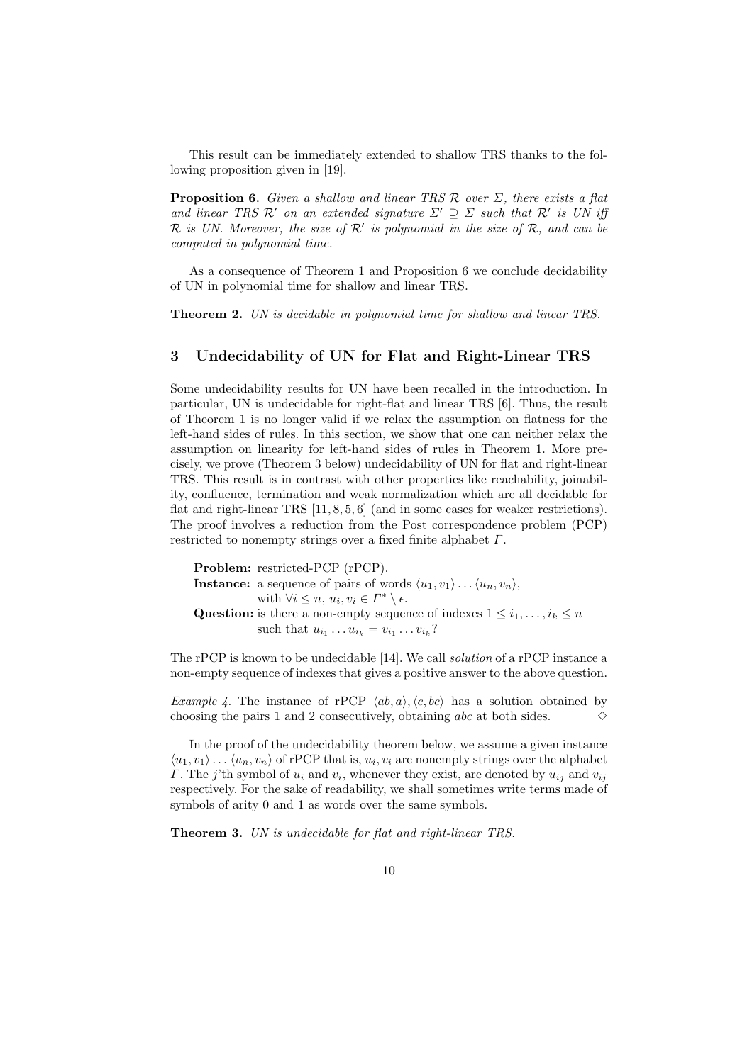This result can be immediately extended to shallow TRS thanks to the following proposition given in [19].

**Proposition 6.** Given a shallow and linear TRS R over  $\Sigma$ , there exists a flat and linear TRS  $\mathcal{R}'$  on an extended signature  $\Sigma' \supseteq \Sigma$  such that  $\mathcal{R}'$  is UN iff  $\mathcal R$  is UN. Moreover, the size of  $\mathcal R'$  is polynomial in the size of  $\mathcal R$ , and can be computed in polynomial time.

As a consequence of Theorem 1 and Proposition 6 we conclude decidability of UN in polynomial time for shallow and linear TRS.

Theorem 2. UN is decidable in polynomial time for shallow and linear TRS.

# 3 Undecidability of UN for Flat and Right-Linear TRS

Some undecidability results for UN have been recalled in the introduction. In particular, UN is undecidable for right-flat and linear TRS [6]. Thus, the result of Theorem 1 is no longer valid if we relax the assumption on flatness for the left-hand sides of rules. In this section, we show that one can neither relax the assumption on linearity for left-hand sides of rules in Theorem 1. More precisely, we prove (Theorem 3 below) undecidability of UN for flat and right-linear TRS. This result is in contrast with other properties like reachability, joinability, confluence, termination and weak normalization which are all decidable for flat and right-linear TRS [11, 8, 5, 6] (and in some cases for weaker restrictions). The proof involves a reduction from the Post correspondence problem (PCP) restricted to nonempty strings over a fixed finite alphabet Γ.

Problem: restricted-PCP (rPCP). **Instance:** a sequence of pairs of words  $\langle u_1, v_1 \rangle \dots \langle u_n, v_n \rangle$ , with  $\forall i \leq n, u_i, v_i \in \Gamma^* \setminus \epsilon$ . Question: is there a non-empty sequence of indexes  $1 \leq i_1, \ldots, i_k \leq n$ such that  $u_{i_1} \ldots u_{i_k} = v_{i_1} \ldots v_{i_k}$ ?

The rPCP is known to be undecidable [14]. We call *solution* of a rPCP instance a non-empty sequence of indexes that gives a positive answer to the above question.

*Example 4.* The instance of rPCP  $\langle ab, a \rangle$ ,  $\langle c, bc \rangle$  has a solution obtained by choosing the pairs 1 and 2 consecutively, obtaining abc at both sides.  $\Diamond$ 

In the proof of the undecidability theorem below, we assume a given instance  $\langle u_1, v_1 \rangle \dots \langle u_n, v_n \rangle$  of rPCP that is,  $u_i, v_i$  are nonempty strings over the alphabet T. The j'th symbol of  $u_i$  and  $v_i$ , whenever they exist, are denoted by  $u_{ij}$  and  $v_{ij}$ respectively. For the sake of readability, we shall sometimes write terms made of symbols of arity 0 and 1 as words over the same symbols.

Theorem 3. UN is undecidable for flat and right-linear TRS.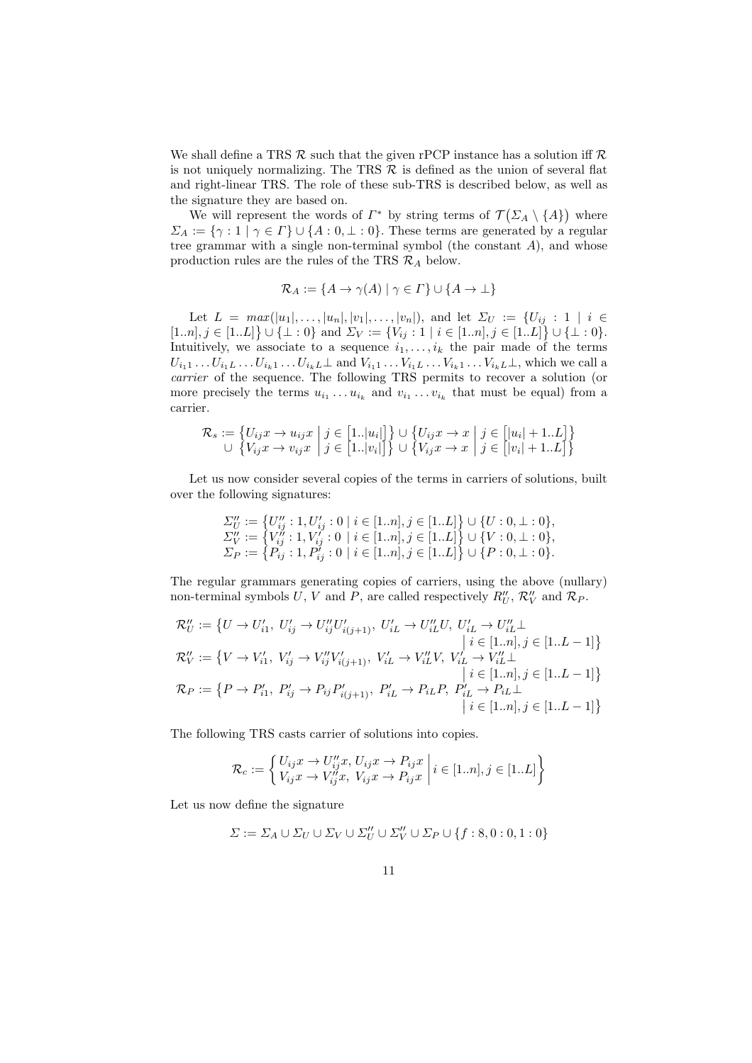We shall define a TRS  $\mathcal R$  such that the given rPCP instance has a solution iff  $\mathcal R$ is not uniquely normalizing. The TRS  $\mathcal R$  is defined as the union of several flat and right-linear TRS. The role of these sub-TRS is described below, as well as the signature they are based on.

We will represent the words of  $\Gamma^*$  by string terms of  $\mathcal{T}(\Sigma_A \setminus \{A\})$  where  $\Sigma_A := \{ \gamma : 1 \mid \gamma \in \Gamma \} \cup \{ A : 0, \perp : 0 \}.$  These terms are generated by a regular tree grammar with a single non-terminal symbol (the constant  $A$ ), and whose production rules are the rules of the TRS  $\mathcal{R}_A$  below.

$$
\mathcal{R}_A := \{ A \to \gamma(A) \mid \gamma \in \Gamma \} \cup \{ A \to \bot \}
$$

Let  $L = max(|u_1|, \ldots, |u_n|, |v_1|, \ldots, |v_n|)$ , and let  $\Sigma_U := \{U_{ij} : 1 \mid i \in$  $[1..n], j \in [1..L] \} \cup \{\perp : 0\}$  and  $\Sigma_V := \{V_{ij} : 1 \mid i \in [1..n], j \in [1..L]\} \cup \{\perp : 0\}.$ Intuitively, we associate to a sequence  $i_1, \ldots, i_k$  the pair made of the terms  $U_{i_11} \ldots U_{i_1L} \ldots U_{i_k1} \ldots U_{i_kL\perp}$  and  $V_{i_11} \ldots V_{i_1L} \ldots V_{i_k1} \ldots V_{i_kL\perp}$ , which we call a carrier of the sequence. The following TRS permits to recover a solution (or more precisely the terms  $u_{i_1} \ldots u_{i_k}$  and  $v_{i_1} \ldots v_{i_k}$  that must be equal) from a carrier.

$$
\mathcal{R}_s := \left\{ U_{ij}x \to u_{ij}x \mid j \in [1..|u_i|] \right\} \cup \left\{ U_{ij}x \to x \mid j \in [|u_i|+1..L] \right\}
$$
  

$$
\cup \left\{ V_{ij}x \to v_{ij}x \mid j \in [1..|v_i|] \right\} \cup \left\{ V_{ij}x \to x \mid j \in [|v_i|+1..L] \right\}
$$

Let us now consider several copies of the terms in carriers of solutions, built over the following signatures:

$$
\begin{array}{l} \varSigma''_{U}:=\left\{U''_{ij}:1,U'_{ij}:0\mid i\in[1..n],j\in[1..L]\right\}\cup\left\{U:0,\perp:0\right\},\\ \varSigma''_{V}:=\left\{V''_{ij}:1,V'_{ij}:0\mid i\in[1..n],j\in[1..L]\right\}\cup\left\{V:0,\perp:0\right\},\\ \varSigma_{P}:=\left\{P_{ij}:1,P'_{ij}:0\mid i\in[1..n],j\in[1..L]\right\}\cup\left\{P:0,\perp:0\right\}.\end{array}
$$

The regular grammars generating copies of carriers, using the above (nullary) non-terminal symbols U, V and P, are called respectively  $R''_U$ ,  $\mathcal{R}''_V$  and  $\mathcal{R}_P$ .

$$
\begin{aligned} \mathcal{R}''_U := \left\{ U \rightarrow U'_{i1}, \ U'_{ij} \rightarrow U''_{ij} U'_{i(j+1)}, \ U'_{iL} \rightarrow U''_{iL} U, \ U'_{iL} \rightarrow U''_{iL} \bot \\ & \hspace{5mm} \hspace{5mm} \vert \ i \in [1..n], j \in [1..L-1] \right\} \\ \mathcal{R}''_V := \left\{ V \rightarrow V'_{i1}, \ V'_{ij} \rightarrow V''_{ij} V'_{i(j+1)}, \ V'_{iL} \rightarrow V''_{iL} V, \ V'_{iL} \rightarrow V''_{iL} \bot \\ & \hspace{5mm} \vert \ i \in [1..n], j \in [1..L-1] \right\} \\ \mathcal{R}_P := \left\{ P \rightarrow P'_{i1}, \ P'_{ij} \rightarrow P_{ij} P'_{i(j+1)}, \ P'_{iL} \rightarrow P_{iL} P, \ P'_{iL} \rightarrow P_{iL} \bot \\ & \hspace{5mm} \vert \ i \in [1..n], j \in [1..L-1] \right\} \\ \end{aligned}
$$

The following TRS casts carrier of solutions into copies.

$$
\mathcal{R}_c := \left\{ \begin{matrix} U_{ij}x \to U''_{ij}x, U_{ij}x \to P_{ij}x \\ V_{ij}x \to V''_{ij}x, V_{ij}x \to P_{ij}x \end{matrix} \middle| i \in [1..n], j \in [1..L] \right\}
$$

Let us now define the signature

$$
\varSigma:=\varSigma_A\cup\varSigma_U\cup\varSigma_V\cup\varSigma_U''\cup\varSigma_V''\cup\varSigma_P\cup\{f:8,0:0,1:0\}
$$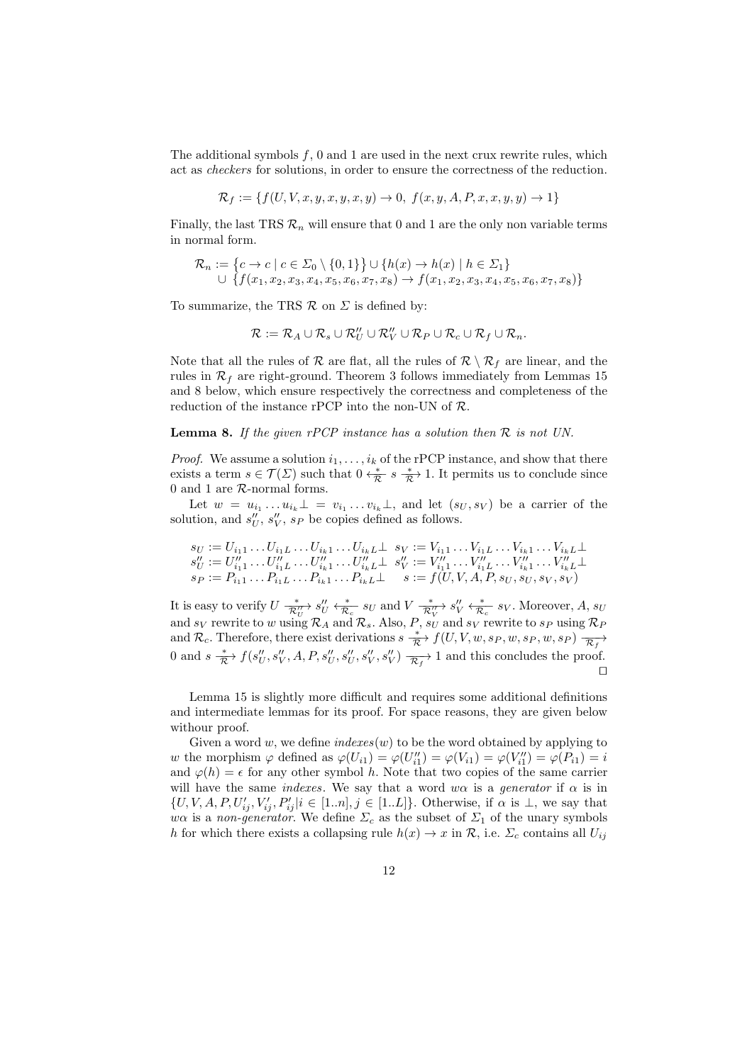The additional symbols  $f$ , 0 and 1 are used in the next crux rewrite rules, which act as checkers for solutions, in order to ensure the correctness of the reduction.

$$
\mathcal{R}_f := \{ f(U, V, x, y, x, y, x, y) \to 0, \ f(x, y, A, P, x, x, y, y) \to 1 \}
$$

Finally, the last TRS  $\mathcal{R}_n$  will ensure that 0 and 1 are the only non variable terms in normal form.

$$
\mathcal{R}_n := \{c \to c \mid c \in \Sigma_0 \setminus \{0, 1\}\} \cup \{h(x) \to h(x) \mid h \in \Sigma_1\} \cup \{f(x_1, x_2, x_3, x_4, x_5, x_6, x_7, x_8) \to f(x_1, x_2, x_3, x_4, x_5, x_6, x_7, x_8)\}\
$$

To summarize, the TRS  $\mathcal R$  on  $\mathcal \Sigma$  is defined by:

$$
\mathcal{R}:=\mathcal{R}_A\cup\mathcal{R}_s\cup\mathcal{R}''_U\cup\mathcal{R}''_V\cup\mathcal{R}_P\cup\mathcal{R}_c\cup\mathcal{R}_f\cup\mathcal{R}_n.
$$

Note that all the rules of  $\mathcal R$  are flat, all the rules of  $\mathcal R \setminus \mathcal R_f$  are linear, and the rules in  $\mathcal{R}_f$  are right-ground. Theorem 3 follows immediately from Lemmas 15 and 8 below, which ensure respectively the correctness and completeness of the reduction of the instance rPCP into the non-UN of  $R$ .

#### **Lemma 8.** If the given rPCP instance has a solution then  $\mathcal{R}$  is not UN.

*Proof.* We assume a solution  $i_1, \ldots, i_k$  of the rPCP instance, and show that there exists a term  $s \in \mathcal{T}(\Sigma)$  such that  $0 \stackrel{*}{\sim} s \stackrel{*}{\sim} 1$ . It permits us to conclude since  $0$  and  $1$  are  ${\mathcal R}\text{-normal forms}.$ 

Let  $w = u_{i_1} \dots u_{i_k} \perp = v_{i_1} \dots v_{i_k} \perp$ , and let  $(s_U, s_V)$  be a carrier of the solution, and  $s''_U$ ,  $s''_V$ ,  $s_P$  be copies defined as follows.

$$
\begin{array}{l} s_U:=U_{i_11}\ldots U_{i_1L}\ldots U_{i_k1}\ldots U_{i_kL}\bot \ \ s_V:=V_{i_11}\ldots V_{i_1L}\ldots V_{i_k1}\ldots V_{i_kL}\bot\\ s''_U:=U''_{i_11}\ldots U''_{i_1L}\ldots U''_{i_k1}\ldots U''_{i_kL}\bot \ \ s''_V:=V''_{i_11}\ldots V''_{i_1L}\ldots V''_{i_k1}\ldots V''_{i_kL}\bot\\ s_P:=P_{i_11}\ldots P_{i_1L}\ldots P_{i_k1}\ldots P_{i_kL}\bot \quad \ \ s:=f(U,V,A,P,s_U,s_U,s_V,s_V) \end{array}
$$

It is easy to verify  $U \frac{*}{\mathcal{R}_U^{\prime\prime}} s_U^{\prime\prime} \stackrel{*}{\leftarrow} s_U$  and  $V \frac{*}{\mathcal{R}_V^{\prime\prime}} s_V^{\prime\prime} \stackrel{*}{\leftarrow} s_V$ . Moreover,  $A, s_U$ and  $s_V$  rewrite to w using  $\mathcal{R}_A$  and  $\mathcal{R}_s$ . Also, P,  $s_U$  and  $s_V$  rewrite to  $s_P$  using  $\mathcal{R}_P$ and  $\mathcal{R}_c$ . Therefore, there exist derivations  $s \xrightarrow[\mathcal{R}]{*} f(U, V, w, s_P, w, s_P, w, s_P) \xrightarrow[\mathcal{R}_f]{\mathcal{R}}$ 0 and  $s \stackrel{*}{\underset{\mathcal{R}}{\longrightarrow}} f(s''_U, s''_V, A, P, s''_U, s''_U, s''_V, s''_V) \stackrel{\longrightarrow}{\underset{\mathcal{R}_f}{\longrightarrow}} 1$  and this concludes the proof. ⊓⊔

Lemma 15 is slightly more difficult and requires some additional definitions and intermediate lemmas for its proof. For space reasons, they are given below withour proof.

Given a word w, we define  $indexes(w)$  to be the word obtained by applying to w the morphism  $\varphi$  defined as  $\varphi(U_{i1}) = \varphi(U''_{i1}) = \varphi(V_{i1}) = \varphi(V''_{i1}) = \varphi(P_{i1}) = i$ and  $\varphi(h) = \epsilon$  for any other symbol h. Note that two copies of the same carrier will have the same *indexes*. We say that a word  $w\alpha$  is a *generator* if  $\alpha$  is in  $\{U, V, A, P, U'_{ij}, V'_{ij}, P'_{ij} | i \in [1..n], j \in [1..L] \}.$  Otherwise, if  $\alpha$  is  $\bot$ , we say that wa is a non-generator. We define  $\Sigma_c$  as the subset of  $\Sigma_1$  of the unary symbols h for which there exists a collapsing rule  $h(x) \to x$  in  $\mathcal{R}$ , i.e.  $\Sigma_c$  contains all  $U_{ij}$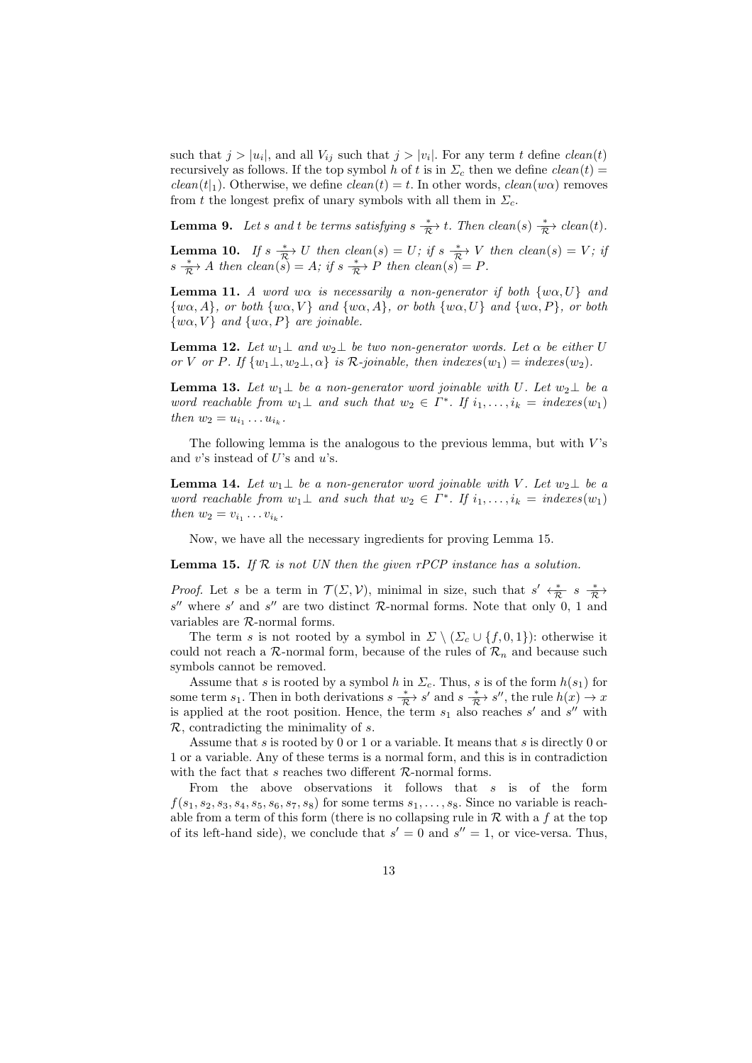such that  $j > |u_i|$ , and all  $V_{ij}$  such that  $j > |v_i|$ . For any term t define clean(t) recursively as follows. If the top symbol h of t is in  $\Sigma_c$  then we define  $clean(t)$  =  $clean(t|<sub>1</sub>)$ . Otherwise, we define  $clean(t) = t$ . In other words,  $clean(w\alpha)$  removes from t the longest prefix of unary symbols with all them in  $\Sigma_c$ .

**Lemma 9.** Let s and t be terms satisfying s  $\frac{*}{\mathcal{R}}$  t. Then clean(s)  $\frac{*}{\mathcal{R}}$  clean(t).

**Lemma 10.** If  $s \frac{*}{\mathcal{R}}$  U then clean(s) = U; if  $s \frac{*}{\mathcal{R}}$  V then clean(s) = V; if  $s \xrightarrow{\ast} A$  then  $clean(s) = A$ ; if  $s \xrightarrow{\ast} P$  then  $clean(s) = P$ .

**Lemma 11.** A word wa is necessarily a non-generator if both  $\{w\alpha, U\}$  and  $\{w\alpha, A\}$ , or both  $\{w\alpha, V\}$  and  $\{w\alpha, A\}$ , or both  $\{w\alpha, U\}$  and  $\{w\alpha, P\}$ , or both  $\{w\alpha, V\}$  and  $\{w\alpha, P\}$  are joinable.

**Lemma 12.** Let  $w_1 \perp$  and  $w_2 \perp$  be two non-generator words. Let  $\alpha$  be either U or V or P. If  $\{w_1 \perp, w_2 \perp, \alpha\}$  is R-joinable, then indexes $(w_1) =$  indexes $(w_2)$ .

**Lemma 13.** Let  $w_1 \perp$  be a non-generator word joinable with U. Let  $w_2 \perp$  be a word reachable from  $w_1 \perp$  and such that  $w_2 \in \Gamma^*$ . If  $i_1, \ldots, i_k = indexes(w_1)$ *then*  $w_2 = u_{i_1} \dots u_{i_k}$ .

The following lemma is the analogous to the previous lemma, but with  $V$ 's and  $v$ 's instead of  $U$ 's and  $u$ 's.

**Lemma 14.** Let  $w_1 \perp$  be a non-generator word joinable with V. Let  $w_2 \perp$  be a word reachable from  $w_1 \perp$  and such that  $w_2 \in \Gamma^*$ . If  $i_1, \ldots, i_k = indexes(w_1)$ *then*  $w_2 = v_{i_1} \dots v_{i_k}$ .

Now, we have all the necessary ingredients for proving Lemma 15.

**Lemma 15.** If  $\mathcal{R}$  is not UN then the given rPCP instance has a solution.

*Proof.* Let s be a term in  $\mathcal{T}(\Sigma, \mathcal{V})$ , minimal in size, such that  $s' \leftarrow \frac{*}{\mathcal{R}} s \frac{*}{\mathcal{R}}$  $s''$  where  $s'$  and  $s''$  are two distinct  $R$ -normal forms. Note that only 0, 1 and variables are R-normal forms.

The term s is not rooted by a symbol in  $\Sigma \setminus (\Sigma_c \cup \{f, 0, 1\})$ : otherwise it could not reach a  $\mathcal{R}$ -normal form, because of the rules of  $\mathcal{R}_n$  and because such symbols cannot be removed.

Assume that s is rooted by a symbol h in  $\Sigma_c$ . Thus, s is of the form  $h(s_1)$  for some term  $s_1$ . Then in both derivations  $s \xrightarrow{\ast} s'$  and  $s \xrightarrow{\ast} s''$ , the rule  $h(x) \to x$ is applied at the root position. Hence, the term  $s_1$  also reaches s' and s'' with  $\mathcal{R}$ , contradicting the minimality of s.

Assume that s is rooted by 0 or 1 or a variable. It means that s is directly 0 or 1 or a variable. Any of these terms is a normal form, and this is in contradiction with the fact that  $s$  reaches two different  $R$ -normal forms.

From the above observations it follows that s is of the form  $f(s_1, s_2, s_3, s_4, s_5, s_6, s_7, s_8)$  for some terms  $s_1, \ldots, s_8$ . Since no variable is reachable from a term of this form (there is no collapsing rule in  $\mathcal R$  with a f at the top of its left-hand side), we conclude that  $s' = 0$  and  $s'' = 1$ , or vice-versa. Thus,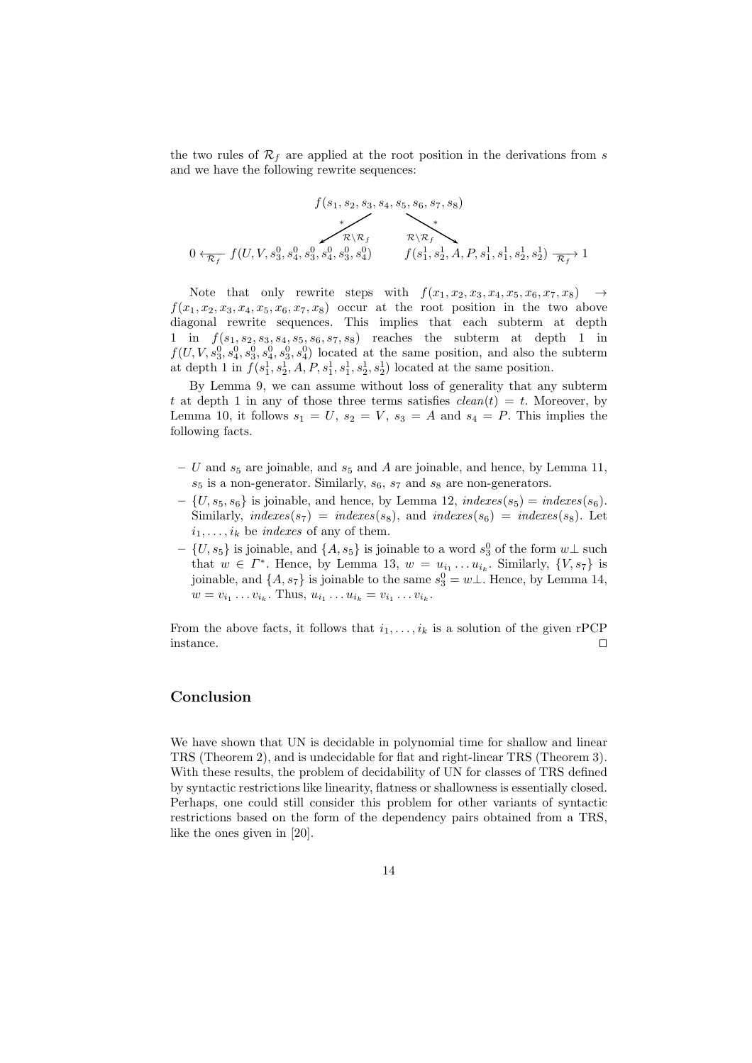the two rules of  $\mathcal{R}_f$  are applied at the root position in the derivations from s and we have the following rewrite sequences:

$$
f(s_1, s_2, s_3, s_4, s_5, s_6, s_7, s_8)
$$
\n
$$
\overbrace{\mathcal{R} \backslash \mathcal{R}_f}^* \overbrace{\mathcal{R} \backslash \mathcal{R}_f}^* \overbrace{\mathcal{R} \backslash \mathcal{R}_f}^* \overbrace{\mathcal{R} \backslash \mathcal{R}_f}^* \overbrace{\mathcal{R} \backslash \mathcal{R}_f}^* \overbrace{\mathcal{R}_f}^* \overbrace{\mathcal{R}_f}^* \overbrace{\mathcal{R}_f}^* \overbrace{\mathcal{R}_f}^* \overbrace{\mathcal{R}_f}^* \overbrace{\mathcal{R}_f}^* \overbrace{\mathcal{R}_f}^* \overbrace{\mathcal{R}_f}^* \overbrace{\mathcal{R}_f}^* \overbrace{\mathcal{R}_f}^* \overbrace{\mathcal{R}_f}^* \overbrace{\mathcal{R}_f}^* \overbrace{\mathcal{R}_f}^* \overbrace{\mathcal{R}_f}^* \overbrace{\mathcal{R}_f}^* \overbrace{\mathcal{R}_f}^* \overbrace{\mathcal{R}_f}^* \overbrace{\mathcal{R}_f}^* \overbrace{\mathcal{R}_f}^* \overbrace{\mathcal{R}_f}^* \overbrace{\mathcal{R}_f}^* \overbrace{\mathcal{R}_f}^* \overbrace{\mathcal{R}_f}^* \overbrace{\mathcal{R}_f}^* \overbrace{\mathcal{R}_f}^* \overbrace{\mathcal{R}_f}^* \overbrace{\mathcal{R}_f}^* \overbrace{\mathcal{R}_f}^* \overbrace{\mathcal{R}_f}^* \overbrace{\mathcal{R}_f}^* \overbrace{\mathcal{R}_f}^* \overbrace{\mathcal{R}_f}^* \overbrace{\mathcal{R}_f}^* \overbrace{\mathcal{R}_f}^* \overbrace{\mathcal{R}_f}^* \overbrace{\mathcal{R}_f}^* \overbrace{\mathcal{R}_f}^* \overbrace{\mathcal{R}_f}^* \overbrace{\mathcal{R}_f}^* \overbrace{\mathcal{R}_f}^* \overbrace{\mathcal{R}_f}^* \overbrace{\mathcal{R}_f}^* \overbrace{\mathcal{R}_f}^* \overbrace{\mathcal{R}_f}^* \overbrace{\mathcal{R}_f}^* \overbrace{\mathcal{R}_f}^* \overbrace{\mathcal{R}_f
$$

Note that only rewrite steps with  $f(x_1, x_2, x_3, x_4, x_5, x_6, x_7, x_8) \rightarrow$  $f(x_1, x_2, x_3, x_4, x_5, x_6, x_7, x_8)$  occur at the root position in the two above diagonal rewrite sequences. This implies that each subterm at depth 1 in  $f(s_1, s_2, s_3, s_4, s_5, s_6, s_7, s_8)$  reaches the subterm at depth 1 in  $f(U, V, s_3^0, s_4^0, s_3^0, s_4^0, s_3^0, s_4^0)$  located at the same position, and also the subterm at depth 1 in  $f(s_1^1, s_2^1, A, P, s_1^1, s_2^1, s_2^1, s_2^1)$  located at the same position.

By Lemma 9, we can assume without loss of generality that any subterm t at depth 1 in any of those three terms satisfies  $clean(t) = t$ . Moreover, by Lemma 10, it follows  $s_1 = U$ ,  $s_2 = V$ ,  $s_3 = A$  and  $s_4 = P$ . This implies the following facts.

- U and  $s_5$  are joinable, and  $s_5$  and A are joinable, and hence, by Lemma 11,  $s_5$  is a non-generator. Similarly,  $s_6$ ,  $s_7$  and  $s_8$  are non-generators.
- $\{U, s_5, s_6\}$  is joinable, and hence, by Lemma 12, indexes(s<sub>5</sub>) = indexes(s<sub>6</sub>). Similarly,  $indexes(s_7) = indexes(s_8)$ , and  $indexes(s_6) = indexes(s_8)$ . Let  $i_1, \ldots, i_k$  be *indexes* of any of them.
- $\{U, s_5\}$  is joinable, and  $\{A, s_5\}$  is joinable to a word  $s_3^0$  of the form  $w \perp$  such that  $w \in \Gamma^*$ . Hence, by Lemma 13,  $w = u_{i_1} \ldots u_{i_k}$ . Similarly,  $\{V, s_7\}$  is joinable, and  $\{A, s_7\}$  is joinable to the same  $s_3^0 = w \perp$ . Hence, by Lemma 14,  $w = v_{i_1} \dots v_{i_k}$ . Thus,  $u_{i_1} \dots u_{i_k} = v_{i_1} \dots v_{i_k}$ .

From the above facts, it follows that  $i_1, \ldots, i_k$  is a solution of the given rPCP instance. ⊓⊔

### Conclusion

We have shown that UN is decidable in polynomial time for shallow and linear TRS (Theorem 2), and is undecidable for flat and right-linear TRS (Theorem 3). With these results, the problem of decidability of UN for classes of TRS defined by syntactic restrictions like linearity, flatness or shallowness is essentially closed. Perhaps, one could still consider this problem for other variants of syntactic restrictions based on the form of the dependency pairs obtained from a TRS, like the ones given in [20].